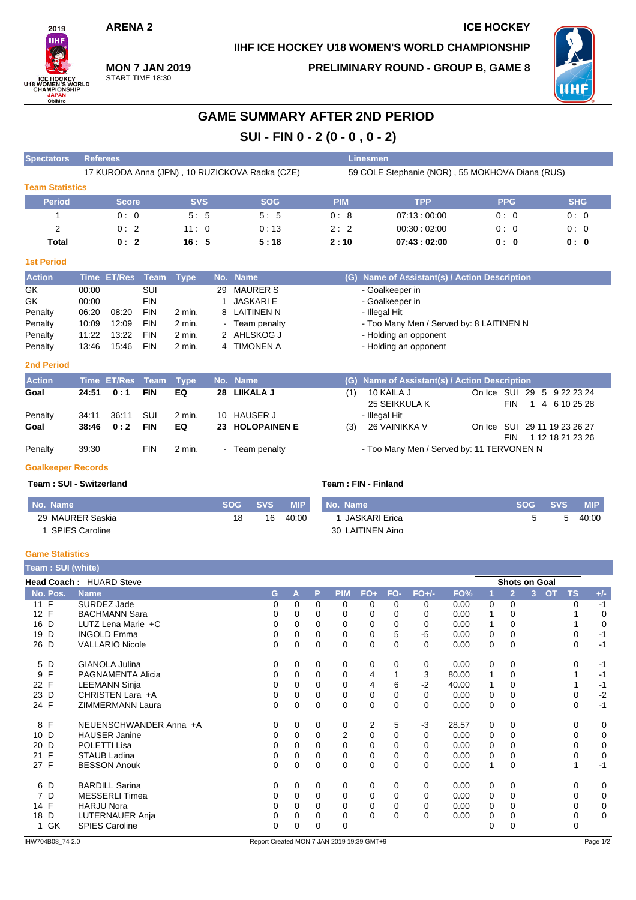### **ARENA 2 ICE HOCKEY**

### **IIHF ICE HOCKEY U18 WOMEN'S WORLD CHAMPIONSHIP**



**MON 7 JAN 2019** START TIME 18:30

**PRELIMINARY ROUND - GROUP B, GAME 8**



# **GAME SUMMARY AFTER 2ND PERIOD SUI - FIN 0 - 2 (0 - 0 , 0 - 2)**

| <b>Spectators</b>      | <b>Referees</b> |              |            |             |    | <b>Linesmen</b>                                |            |                                                 |            |            |  |  |  |
|------------------------|-----------------|--------------|------------|-------------|----|------------------------------------------------|------------|-------------------------------------------------|------------|------------|--|--|--|
|                        |                 |              |            |             |    | 17 KURODA Anna (JPN), 10 RUZICKOVA Radka (CZE) |            | 59 COLE Stephanie (NOR), 55 MOKHOVA Diana (RUS) |            |            |  |  |  |
| <b>Team Statistics</b> |                 |              |            |             |    |                                                |            |                                                 |            |            |  |  |  |
| <b>Period</b>          |                 | <b>Score</b> |            | <b>SVS</b>  |    | <b>SOG</b>                                     | <b>PIM</b> | <b>TPP</b>                                      | <b>PPG</b> | <b>SHG</b> |  |  |  |
|                        |                 | 0:0          |            | 5:5         |    | 5:5                                            | 0:8        | 07:13:00:00                                     | 0:0        | 0:0        |  |  |  |
| 2                      |                 | 0:2          |            | 11:0        |    | 0:13                                           | 2:2        | 00:30:02:00                                     | 0:0        | 0:0        |  |  |  |
| <b>Total</b>           |                 | 0:2          |            | 16:5        |    | 5:18                                           | 2:10       | 07:43:02:00                                     | 0: 0       | 0: 0       |  |  |  |
| <b>1st Period</b>      |                 |              |            |             |    |                                                |            |                                                 |            |            |  |  |  |
| <b>Action</b>          |                 | Time ET/Res  | Team       | <b>Type</b> |    | No. Name                                       | (G)        | Name of Assistant(s) / Action Description       |            |            |  |  |  |
| GK.                    | 00:00           |              | SUI        |             | 29 | <b>MAURER S</b>                                |            | - Goalkeeper in                                 |            |            |  |  |  |
| GK.                    | 00:00           |              | <b>FIN</b> |             |    | <b>JASKARI E</b>                               |            | - Goalkeeper in                                 |            |            |  |  |  |
| Penalty                | 06:20           | 08:20        | <b>FIN</b> | 2 min.      |    | 8 LAITINEN N                                   |            | - Illegal Hit                                   |            |            |  |  |  |
| Penalty                | 10:09           | 12:09        | <b>FIN</b> | $2$ min.    |    | - Team penalty                                 |            | - Too Many Men / Served by: 8 LAITINEN N        |            |            |  |  |  |
| Penalty                | 11:22           | 13:22        | <b>FIN</b> | $2$ min.    |    | 2 AHLSKOG J                                    |            | - Holding an opponent                           |            |            |  |  |  |
| Penalty                | 13:46           | 15:46        | <b>FIN</b> | 2 min.      |    | 4 TIMONEN A                                    |            | - Holding an opponent                           |            |            |  |  |  |
| <b>2nd Period</b>      |                 |              |            |             |    |                                                |            |                                                 |            |            |  |  |  |

| _____ |  | _____ |  |
|-------|--|-------|--|
|       |  |       |  |
|       |  |       |  |

| <b>Action</b>   |                | Time ET/Res Team Type |                   |              |                | No. Name                       |     | (G) Name of Assistant(s) / Action Description |                              |      |  |                  |  |
|-----------------|----------------|-----------------------|-------------------|--------------|----------------|--------------------------------|-----|-----------------------------------------------|------------------------------|------|--|------------------|--|
| Goal            | 24:51          | 0:1                   | <b>FIN</b>        | EQ           |                | 28 LIIKALA J                   | (1) | 10 KAILA J<br>25 SEIKKULA K                   | On Ice SUI 29 5 9 22 23 24   | FIN  |  | 1 4 6 10 25 28   |  |
| Penalty<br>Goal | 34:11<br>38:46 | 36:11<br>0:2          | SUI<br><b>FIN</b> | 2 min.<br>EQ |                | 10 HAUSER J<br>23 HOLOPAINEN E | (3) | - Illegal Hit<br>26 VAINIKKA V                | On Ice SUI 29 11 19 23 26 27 | FIN. |  | 1 12 18 21 23 26 |  |
| Penalty         | 39:30          |                       | <b>FIN</b>        | 2 min.       | $\blacksquare$ | Team penalty                   |     | - Too Many Men / Served by: 11 TERVONEN N     |                              |      |  |                  |  |

### **Goalkeeper Records**

**Team : SUI - Switzerland Team : FIN - Finland**

| No. Name              | SOG | SVS A | <b>MIP</b> | . No. Name       | SOG                  | <b>SVS</b> | <b>MIP</b> |
|-----------------------|-----|-------|------------|------------------|----------------------|------------|------------|
| 29 MAURER Saskia      | 18  | 16    | 40:00      | JASKARI Erica    | $\ddot{\phantom{1}}$ |            | 40:00      |
| <b>SPIES Caroline</b> |     |       |            | 30 LAITINEN Aino |                      |            |            |

### **Game Statistics**

| Team: SUI (white)       |                          |          |          |             |            |       |          |             |       |   |                |                      |           |             |  |  |  |
|-------------------------|--------------------------|----------|----------|-------------|------------|-------|----------|-------------|-------|---|----------------|----------------------|-----------|-------------|--|--|--|
| Head Coach: HUARD Steve |                          |          |          |             |            |       |          |             |       |   |                | <b>Shots on Goal</b> |           |             |  |  |  |
| No. Pos.                | <b>Name</b>              | G.       | А        | P           | <b>PIM</b> | $FO+$ | FO-      | $FO+/-$     | FO%   | 1 | $\overline{2}$ | 3<br>OT              | <b>TS</b> | $+/-$       |  |  |  |
| 11 F                    | SURDEZ Jade              | 0        | 0        | $\Omega$    | 0          | 0     | 0        | 0           | 0.00  | 0 | 0              |                      | 0         | $-1$        |  |  |  |
| 12 F                    | <b>BACHMANN Sara</b>     | 0        | 0        | $\Omega$    | 0          | 0     | 0        | 0           | 0.00  |   | 0              |                      |           | 0           |  |  |  |
| 16 D                    | LUTZ Lena Marie +C       | 0        | 0        | 0           | 0          | 0     | 0        | 0           | 0.00  | 1 | 0              |                      |           | $\mathbf 0$ |  |  |  |
| D<br>19                 | <b>INGOLD Emma</b>       | 0        | 0        | 0           | 0          | 0     | 5        | $-5$        | 0.00  | 0 | 0              |                      | 0         | $-1$        |  |  |  |
| 26 D                    | <b>VALLARIO Nicole</b>   | 0        | $\Omega$ | $\Omega$    | $\Omega$   | 0     | 0        | $\Omega$    | 0.00  | 0 | $\mathbf 0$    |                      | $\Omega$  | $-1$        |  |  |  |
| 5 D                     | <b>GIANOLA Julina</b>    | 0        | 0        | 0           | 0          | 0     | 0        | 0           | 0.00  | 0 | 0              |                      | 0         | $-1$        |  |  |  |
| F<br>9                  | <b>PAGNAMENTA Alicia</b> | 0        | 0        | 0           | 0          | 4     |          | 3           | 80.00 | 1 | 0              |                      |           | $-1$        |  |  |  |
| 22 F                    | <b>LEEMANN Sinja</b>     | 0        | $\Omega$ | $\Omega$    | 0          | 4     | 6        | $-2$        | 40.00 | 1 | 0              |                      |           | $-1$        |  |  |  |
| 23 D                    | CHRISTEN Lara +A         | 0        | $\Omega$ | 0           | 0          | 0     | 0        | 0           | 0.00  | 0 | 0              |                      | 0         | $-2$        |  |  |  |
| 24 F                    | <b>ZIMMERMANN Laura</b>  | $\Omega$ | 0        | $\mathbf 0$ | 0          | 0     | $\Omega$ | $\Omega$    | 0.00  | 0 | $\mathbf 0$    |                      | 0         | $-1$        |  |  |  |
| F<br>8                  | NEUENSCHWANDER Anna +A   | 0        | 0        | 0           | 0          | 2     | 5        | $-3$        | 28.57 | 0 | 0              |                      | 0         | 0           |  |  |  |
| 10 D                    | <b>HAUSER Janine</b>     | 0        | $\Omega$ | $\Omega$    | 2          | 0     | $\Omega$ | $\Omega$    | 0.00  | 0 | 0              |                      | 0         | 0           |  |  |  |
| 20 D                    | POLETTI Lisa             | 0        | $\Omega$ | 0           | 0          | 0     | 0        | $\Omega$    | 0.00  | 0 | 0              |                      | 0         | $\mathbf 0$ |  |  |  |
| F<br>21                 | STAUB Ladina             | 0        | 0        | 0           | 0          | 0     | 0        | $\mathbf 0$ | 0.00  | 0 | $\mathbf 0$    |                      | 0         | $\mathbf 0$ |  |  |  |
| 27 F                    | <b>BESSON Anouk</b>      | 0        | $\Omega$ | 0           | 0          | 0     | 0        | $\Omega$    | 0.00  | 1 | 0              |                      |           | -1          |  |  |  |
| 6 D                     | <b>BARDILL Sarina</b>    | 0        | 0        | 0           | 0          | 0     | 0        | 0           | 0.00  | 0 | 0              |                      | 0         | 0           |  |  |  |
| 7 D                     | <b>MESSERLI Timea</b>    | 0        | $\Omega$ | $\Omega$    | 0          | 0     | 0        | $\Omega$    | 0.00  | 0 | $\mathbf 0$    |                      | 0         | $\mathbf 0$ |  |  |  |
| F<br>14                 | <b>HARJU Nora</b>        | 0        | 0        | $\Omega$    | 0          | 0     | 0        | 0           | 0.00  | 0 | 0              |                      | 0         | $\mathbf 0$ |  |  |  |
| D<br>18                 | LUTERNAUER Anja          | 0        | 0        | 0           | 0          | 0     | 0        | $\Omega$    | 0.00  | 0 | 0              |                      | 0         | 0           |  |  |  |
| 1 GK                    | <b>SPIES Caroline</b>    | 0        | 0        | 0           | 0          |       |          |             |       | 0 | 0              |                      | 0         |             |  |  |  |